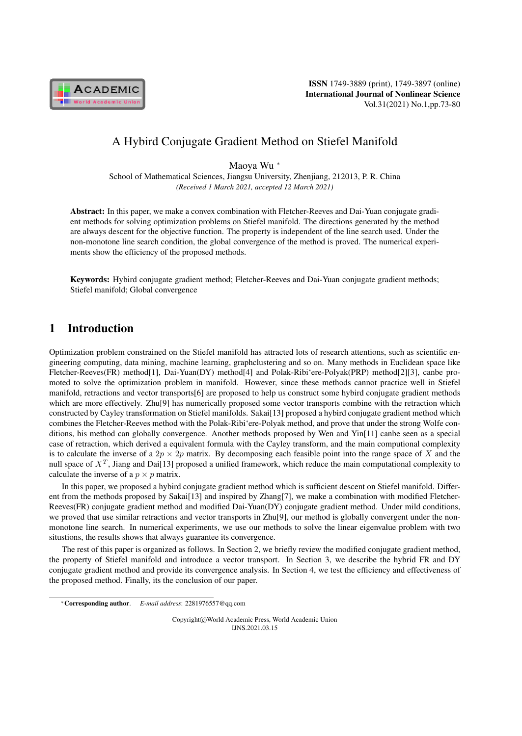

# A Hybird Conjugate Gradient Method on Stiefel Manifold

Maoya Wu <sup>∗</sup>

School of Mathematical Sciences, Jiangsu University, Zhenjiang, 212013, P. R. China *(Received 1 March 2021, accepted 12 March 2021)*

Abstract: In this paper, we make a convex combination with Fletcher-Reeves and Dai-Yuan conjugate gradient methods for solving optimization problems on Stiefel manifold. The directions generated by the method are always descent for the objective function. The property is independent of the line search used. Under the non-monotone line search condition, the global convergence of the method is proved. The numerical experiments show the efficiency of the proposed methods.

Keywords: Hybird conjugate gradient method; Fletcher-Reeves and Dai-Yuan conjugate gradient methods; Stiefel manifold; Global convergence

# 1 Introduction

Optimization problem constrained on the Stiefel manifold has attracted lots of research attentions, such as scientific engineering computing, data mining, machine learning, graphclustering and so on. Many methods in Euclidean space like Fletcher-Reeves(FR) method[1], Dai-Yuan(DY) method[4] and Polak-Ribi'ere-Polyak(PRP) method[2][3], canbe promoted to solve the optimization problem in manifold. However, since these methods cannot practice well in Stiefel manifold, retractions and vector transports[6] are proposed to help us construct some hybird conjugate gradient methods which are more effectively. Zhu<sup>[9]</sup> has numerically proposed some vector transports combine with the retraction which constructed by Cayley transformation on Stiefel manifolds. Sakai[13] proposed a hybird conjugate gradient method which combines the Fletcher-Reeves method with the Polak-Ribi'ere-Polyak method, and prove that under the strong Wolfe conditions, his method can globally convergence. Another methods proposed by Wen and Yin[11] canbe seen as a special case of retraction, which derived a equivalent formula with the Cayley transform, and the main computional complexity is to calculate the inverse of a  $2p \times 2p$  matrix. By decomposing each feasible point into the range space of X and the null space of  $X^T$ , Jiang and Dai[13] proposed a unified framework, which reduce the main computational complexity to calculate the inverse of a  $p \times p$  matrix.

In this paper, we proposed a hybird conjugate gradient method which is sufficient descent on Stiefel manifold. Different from the methods proposed by Sakai[13] and inspired by Zhang[7], we make a combination with modified Fletcher-Reeves(FR) conjugate gradient method and modified Dai-Yuan(DY) conjugate gradient method. Under mild conditions, we proved that use similar retractions and vector transports in Zhu[9], our method is globally convergent under the nonmonotone line search. In numerical experiments, we use our methods to solve the linear eigenvalue problem with two situstions, the results shows that always guarantee its convergence.

The rest of this paper is organized as follows. In Section 2, we briefly review the modified conjugate gradient method, the property of Stiefel manifold and introduce a vector transport. In Section 3, we describe the hybrid FR and DY conjugate gradient method and provide its convergence analysis. In Section 4, we test the efficiency and effectiveness of the proposed method. Finally, its the conclusion of our paper.

Copyright©World Academic Press, World Academic Union IJNS.2021.03.15

<sup>∗</sup>Corresponding author. *E-mail address*: 2281976557@qq.com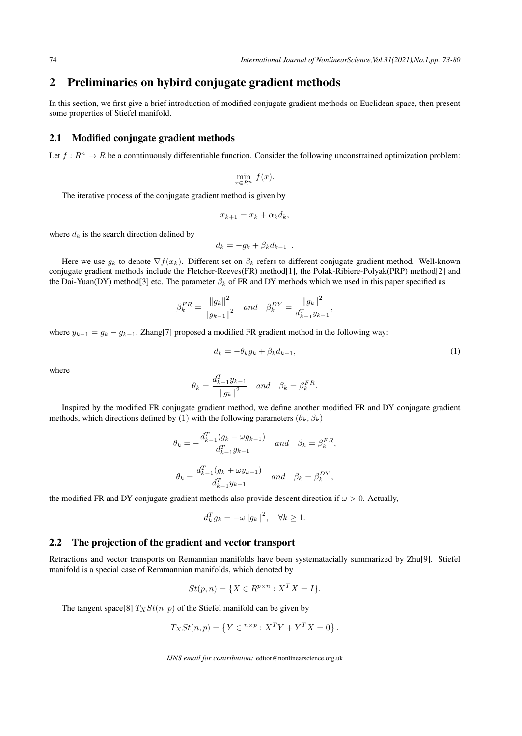### 2 Preliminaries on hybird conjugate gradient methods

In this section, we first give a brief introduction of modified conjugate gradient methods on Euclidean space, then present some properties of Stiefel manifold.

### 2.1 Modified conjugate gradient methods

Let  $f: R^n \to R$  be a conntinuously differentiable function. Consider the following unconstrained optimization problem:

$$
\min_{x \in R^n} f(x).
$$

The iterative process of the conjugate gradient method is given by

$$
x_{k+1} = x_k + \alpha_k d_k,
$$

where  $d_k$  is the search direction defined by

$$
d_k = -g_k + \beta_k d_{k-1} .
$$

Here we use  $g_k$  to denote  $\nabla f(x_k)$ . Different set on  $\beta_k$  refers to different conjugate gradient method. Well-known conjugate gradient methods include the Fletcher-Reeves(FR) method[1], the Polak-Ribiere-Polyak(PRP) method[2] and the Dai-Yuan(DY) method[3] etc. The parameter  $\beta_k$  of FR and DY methods which we used in this paper specified as

$$
\beta_k^{FR} = \frac{\|g_k\|^2}{\|g_{k-1}\|^2} \quad and \quad \beta_k^{DY} = \frac{\|g_k\|^2}{d_{k-1}^T y_{k-1}}
$$

where  $y_{k-1} = g_k - g_{k-1}$ . Zhang[7] proposed a modified FR gradient method in the following way:

$$
d_k = -\theta_k g_k + \beta_k d_{k-1},\tag{1}
$$

,

where

$$
\theta_k = \frac{d_{k-1}^T y_{k-1}}{\left\|g_k\right\|^2} \quad and \quad \beta_k = \beta_k^{FR}.
$$

Inspired by the modified FR conjugate gradient method, we define another modified FR and DY conjugate gradient methods, which directions defined by (1) with the following parameters  $(\theta_k, \beta_k)$ 

$$
\theta_k = -\frac{d_{k-1}^T (g_k - \omega g_{k-1})}{d_{k-1}^T g_{k-1}} \quad \text{and} \quad \beta_k = \beta_k^{FR},
$$
  

$$
\theta_k = \frac{d_{k-1}^T (g_k + \omega y_{k-1})}{d_{k-1}^T g_{k-1}} \quad \text{and} \quad \beta_k = \beta_k^{DY},
$$

the modified FR and DY conjugate gradient methods also provide descent direction if  $\omega > 0$ . Actually,

$$
d_k^T g_k = -\omega ||g_k||^2, \quad \forall k \ge 1.
$$

#### 2.2 The projection of the gradient and vector transport

Retractions and vector transports on Remannian manifolds have been systematacially summarized by Zhu[9]. Stiefel manifold is a special case of Remmannian manifolds, which denoted by

$$
St(p, n) = \{ X \in R^{p \times n} : X^T X = I \}.
$$

The tangent space[8]  $T_XSt(n, p)$  of the Stiefel manifold can be given by

$$
T_X St(n,p) = \left\{ Y \in {}^{n \times p} : X^T Y + Y^T X = 0 \right\}.
$$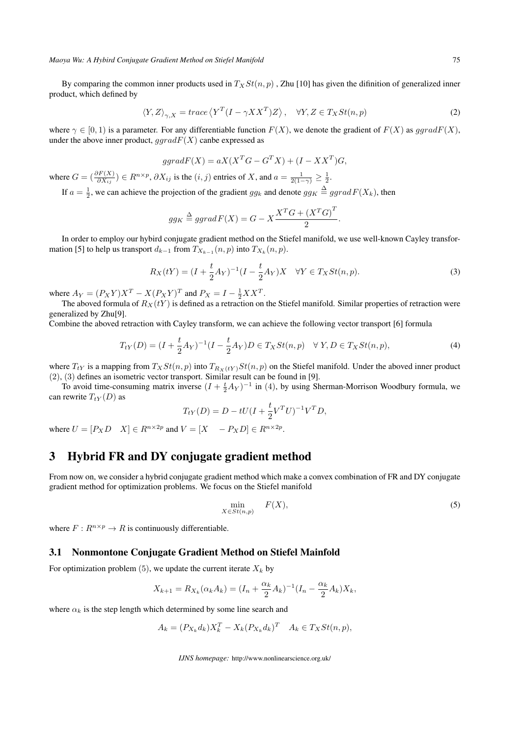*Maoya Wu: A Hybird Conjugate Gradient Method on Stiefel Manifold* 75

By comparing the common inner products used in  $T_XSt(n, p)$ , Zhu [10] has given the difinition of generalized inner product, which defined by

$$
\langle Y, Z \rangle_{\gamma, X} = trace \langle Y^T (I - \gamma X X^T) Z \rangle, \quad \forall Y, Z \in T_X St(n, p) \tag{2}
$$

where  $\gamma \in [0, 1)$  is a parameter. For any differentiable function  $F(X)$ , we denote the gradient of  $F(X)$  as  $\text{grad}F(X)$ , under the above inner product,  $qgradF(X)$  canbe expressed as

$$
ggradF(X) = aX(X^T G - G^T X) + (I - XX^T)G,
$$

where  $G = \left(\frac{\partial F(X)}{\partial X_{ij}}\right) \in R^{n \times p}$ ,  $\partial X_{ij}$  is the  $(i, j)$  entries of X, and  $a = \frac{1}{2(1-\gamma)} \ge \frac{1}{2}$ . If  $a = \frac{1}{2}$ , we can achieve the projection of the gradient  $gg_k$  and denote  $gg_K \triangleq ggrad F(X_k)$ , then

If 
$$
a = \frac{1}{2}
$$
, we can achieve the projection of the gradient  $gg_k$  and denote  $gg_K \equiv ggrad F(X_k)$ , then

$$
gg_K \stackrel{\Delta}{=} ggrad F(X) = G - X \frac{X^T G + (X^T G)}{2}.
$$

In order to employ our hybird conjugate gradient method on the Stiefel manifold, we use well-known Cayley transformation [5] to help us transport  $d_{k-1}$  from  $T_{X_{k-1}}(n, p)$  into  $T_{X_k}(n, p)$ .

$$
R_X(tY) = (I + \frac{t}{2}A_Y)^{-1}(I - \frac{t}{2}A_Y)X \quad \forall Y \in T_X St(n, p).
$$
 (3)

where  $A_Y = (P_X Y)X^T - X(P_X Y)^T$  and  $P_X = I - \frac{1}{2}XX^T$ .

The aboved formula of  $R_X(tY)$  is defined as a retraction on the Stiefel manifold. Similar properties of retraction were generalized by Zhu[9].

Combine the aboved retraction with Cayley transform, we can achieve the following vector transport [6] formula

$$
T_{tY}(D) = (I + \frac{t}{2}A_Y)^{-1}(I - \frac{t}{2}A_Y)D \in T_X St(n, p) \quad \forall Y, D \in T_X St(n, p),
$$
\n(4)

where  $T_{tY}$  is a mapping from  $T_XSt(n, p)$  into  $T_{R_X(tY)}St(n, p)$  on the Stiefel manifold. Under the aboved inner product (2), (3) defines an isometric vector transport. Similar result can be found in [9].

To avoid time-consuming matrix inverse  $(I + \frac{t}{2}A_Y)^{-1}$  in (4), by using Sherman-Morrison Woodbury formula, we can rewrite  $T_{tY}(D)$  as

$$
T_{tY}(D) = D - tU(I + \frac{t}{2}V^T U)^{-1}V^T D,
$$

where  $U = [P_X D \quad X] \in R^{n \times 2p}$  and  $V = [X \quad -P_X D] \in R^{n \times 2p}$ .

# 3 Hybrid FR and DY conjugate gradient method

From now on, we consider a hybrid conjugate gradient method which make a convex combination of FR and DY conjugate gradient method for optimization problems. We focus on the Stiefel manifold

$$
\min_{X \in St(n,p)} \quad F(X),\tag{5}
$$

where  $F: R^{n \times p} \to R$  is continuously differentiable.

#### 3.1 Nonmontone Conjugate Gradient Method on Stiefel Mainfold

For optimization problem (5), we update the current iterate  $X_k$  by

$$
X_{k+1} = R_{X_k}(\alpha_k A_k) = (I_n + \frac{\alpha_k}{2} A_k)^{-1} (I_n - \frac{\alpha_k}{2} A_k) X_k,
$$

where  $\alpha_k$  is the step length which determined by some line search and

$$
A_k = (P_{X_k}d_k)X_k^T - X_k(P_{X_k}d_k)^T \quad A_k \in T_XSt(n, p),
$$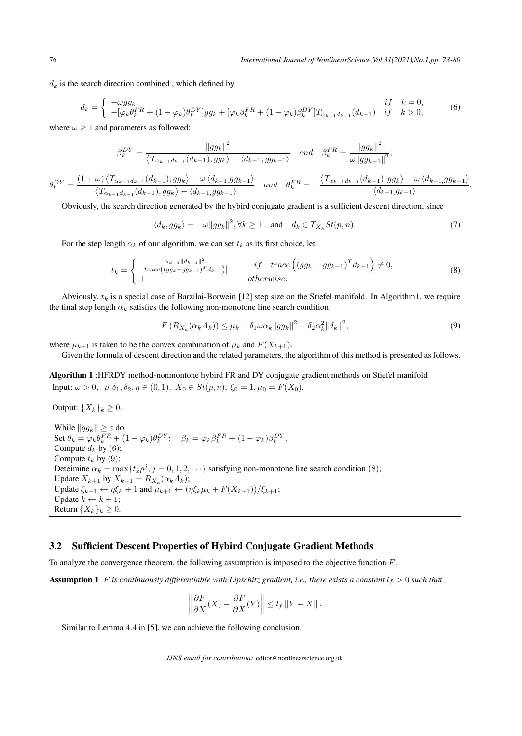.

 $d_k$  is the search direction combined, which defined by

$$
d_k = \begin{cases} -\omega g g_k & if \quad k = 0, \\ -[\varphi_k \theta_k^{FR} + (1 - \varphi_k) \theta_k^{DY}] g g_k + [\varphi_k \beta_k^{FR} + (1 - \varphi_k) \beta_k^{DY}] T_{\alpha_{k-1} d_{k-1}}(d_{k-1}) & if \quad k > 0, \end{cases}
$$
(6)

where  $\omega \geq 1$  and parameters as followed:

Output:  ${X_k}_k \geq 0$ .

$$
\beta_k^{DY} = \frac{\|gg_k\|^2}{\langle T_{\alpha_{k-1}d_{k-1}}(d_{k-1}), gg_k \rangle - \langle d_{k-1}, gg_{k-1} \rangle} \quad and \quad \beta_k^{FR} = \frac{\|gg_k\|^2}{\omega \|gg_{k-1}\|^2};
$$
  

$$
\theta_k^{DY} = \frac{(1+\omega)\langle T_{\alpha_{k-1}d_{k-1}}(d_{k-1}), gg_k \rangle - \omega\langle d_{k-1}, gg_{k-1} \rangle}{\langle T_{\alpha_{k-1}d_{k-1}}(d_{k-1}), gg_k \rangle - \langle d_{k-1}, gg_{k-1} \rangle} \quad and \quad \theta_k^{FR} = -\frac{\langle T_{\alpha_{k-1}d_{k-1}}(d_{k-1}), gg_k \rangle - \omega\langle d_{k-1}, gg_{k-1} \rangle}{\langle d_{k-1}, gg_k \rangle}
$$

Obviously, the search direction generated by the hybird conjugate gradient is a sufficient descent direction, since

 $\langle d_k, gg_k \rangle = -\omega ||gg_k||^2, \forall k \ge 1 \text{ and } d_k \in T_{X_k} St(p,n).$  (7)

For the step length  $\alpha_k$  of our algorithm, we can set  $t_k$  as its first choice, let

$$
t_k = \begin{cases} \frac{\alpha_{k-1}||d_{k-1}||^2}{|trace((gg_k - gg_{k-1})^T d_{k-1})|} & \text{if trace}\left((gg_k - gg_{k-1})^T d_{k-1}\right) \neq 0, \\ 1 & \text{otherwise.} \end{cases}
$$
(8)

Abviously,  $t_k$  is a special case of Barzilai-Borwein [12] step size on the Stiefel manifold. In Algorithm1, we require the final step length  $\alpha_k$  satisfies the following non-monotone line search condition

$$
F(R_{X_k}(\alpha_k A_k)) \le \mu_k - \delta_1 \omega \alpha_k \|gg_k\|^2 - \delta_2 \alpha_k^2 \|d_k\|^2,
$$
\n(9)

where  $\mu_{k+1}$  is taken to be the convex combination of  $\mu_k$  and  $F(X_{k+1})$ .

Given the formula of descent direction and the related parameters, the algorithm of this method is presented as follows.

Algorithm 1 :HFRDY method-nonmontone hybird FR and DY conjugate gradient methods on Stiefel manifold Input:  $\omega > 0$ ,  $\rho, \delta_1, \delta_2, \eta \in (0, 1)$ ,  $X_0 \in St(p, n)$ ,  $\xi_0 = 1$ ,  $\mu_0 = F(X_0)$ .

While  $\|gg_k\| \geq \varepsilon$  do Set  $\theta_k = \varphi_k \theta_k^F R + (1 - \varphi_k) \theta_k^D Y; \quad \beta_k = \varphi_k \beta_k^F R + (1 - \varphi_k) \beta_k^D Y.$ Compute  $d_k$  by (6); Compute  $t_k$  by (9); Deteimine  $\alpha_k = \max\{t_k \rho^j, j = 0, 1, 2, \cdots\}$  satisfying non-monotone line search condition (8); Update  $X_{k+1}$  by  $X_{k+1} = R_{X_k}(\alpha_k A_k);$ Update  $\xi_{k+1} \leftarrow \eta \xi_k + 1$  and  $\mu_{k+1} \leftarrow (\eta \xi_k \mu_k + F(X_{k+1})) / \xi_{k+1}$ ; Update  $k \leftarrow k + 1$ ; Return  $\{X_k\}_k \geq 0$ .

#### 3.2 Sufficient Descent Properties of Hybird Conjugate Gradient Methods

To analyze the convergence theorem, the following assumption is imposed to the objective function F.

**Assumption 1** F is continuously differentiable with Lipschitz gradient, i.e., there exists a constant  $l_f > 0$  such that

$$
\left\|\frac{\partial F}{\partial X}(X) - \frac{\partial F}{\partial X}(Y)\right\| \le l_f \|Y - X\|.
$$

Similar to Lemma 4.4 in [5], we can achieve the following conclusion.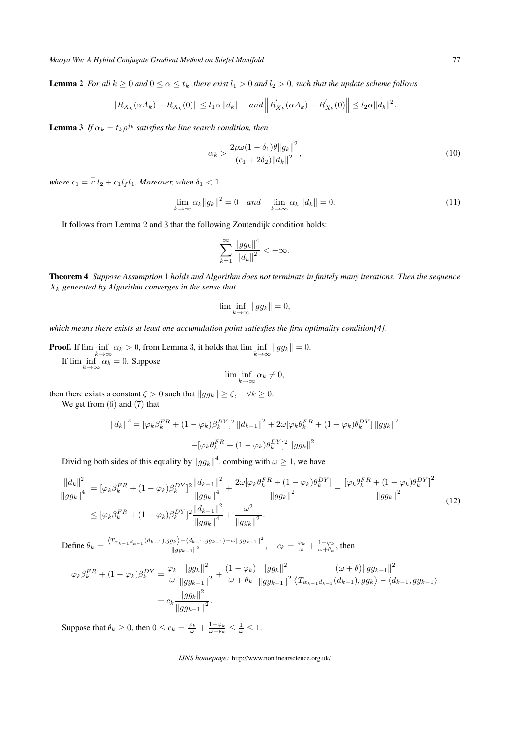**Lemma 2** *For all*  $k \geq 0$  *and*  $0 \leq \alpha \leq t_k$  *, there exist*  $l_1 > 0$  *and*  $l_2 > 0$ *, such that the update scheme follows* 

$$
||R_{X_k}(\alpha A_k) - R_{X_k}(0)|| \le l_1 \alpha ||d_k|| \quad \text{and } \left||R'_{X_k}(\alpha A_k) - R'_{X_k}(0)|| \le l_2 \alpha ||d_k||^2.
$$

**Lemma 3** If  $\alpha_k = t_k \rho^{j_k}$  satisfies the line search condition, then

$$
\alpha_k > \frac{2\rho\omega(1 - \delta_1)\theta \|g_k\|^2}{(c_1 + 2\delta_2) \|d_k\|^2},
$$
\n(10)

where  $c_1 = \overline{c} \, l_2 + c_1 l_f l_1$ *. Moreover, when*  $\delta_1 < 1$ *,* 

$$
\lim_{k \to \infty} \alpha_k \|g_k\|^2 = 0 \quad \text{and} \quad \lim_{k \to \infty} \alpha_k \|d_k\| = 0. \tag{11}
$$

It follows from Lemma 2 and 3 that the following Zoutendijk condition holds:

$$
\sum_{k=1}^{\infty}\frac{\left\|gg_k\right\|^4}{\left\|d_k\right\|^2}<+\infty.
$$

Theorem 4 *Suppose Assumption* 1 *holds and Algorithm does not terminate in finitely many iterations. Then the sequence* X<sup>k</sup> *generated by Algorithm converges in the sense that*

$$
\lim\inf_{k\to\infty}\|gg_k\|=0,
$$

*which means there exists at least one accumulation point satiesfies the first optimality condition[4].*

**Proof.** If  $\liminf_{k \to \infty} \alpha_k > 0$ , from Lemma 3, it holds that  $\liminf_{k \to \infty} ||gg_k|| = 0$ . If  $\lim_{k \to \infty} \alpha_k = 0$ . Suppose

$$
\lim \inf_{k \to \infty} \alpha_k \neq 0,
$$

then there exiats a constant  $\zeta > 0$  such that  $||gg_k|| \ge \zeta$ ,  $\forall k \ge 0$ .

We get from (6) and (7) that

$$
||d_k||^2 = [\varphi_k \beta_k^{FR} + (1 - \varphi_k) \beta_k^{DY}]^2 ||d_{k-1}||^2 + 2\omega[\varphi_k \theta_k^{FR} + (1 - \varphi_k) \theta_k^{DY}] ||gg_k||^2
$$
  

$$
-[\varphi_k \theta_k^{FR} + (1 - \varphi_k) \theta_k^{DY}]^2 ||gg_k||^2.
$$

Dividing both sides of this equality by  $\|gg_k\|^4$ , combing with  $\omega \geq 1$ , we have

$$
\frac{\left\|d_{k}\right\|^{2}}{\left\|gg_{k}\right\|^{4}} = \left[\varphi_{k}\beta_{k}^{FR} + (1-\varphi_{k})\beta_{k}^{DY}\right]^{2} \frac{\left\|d_{k-1}\right\|^{2}}{\left\|gg_{k}\right\|^{4}} + \frac{2\omega[\varphi_{k}\theta_{k}^{FR} + (1-\varphi_{k})\theta_{k}^{DY}]}{\left\|gg_{k}\right\|^{2}} - \frac{\left[\varphi_{k}\theta_{k}^{FR} + (1-\varphi_{k})\theta_{k}^{DY}\right]^{2}}{\left\|gg_{k}\right\|^{2}} \frac{\left\|\varphi_{k}\theta_{k}^{FR} + (1-\varphi_{k})\theta_{k}^{DY}\right\|^{2}}{\left\|gg_{k}\right\|^{2}} + \frac{\omega^{2}}{\left\|gg_{k}\right\|^{2}}.
$$
\n(12)

Define  $\theta_k = \frac{\langle T_{\alpha_{k-1}d_{k-1}}(d_{k-1}), gg_k \rangle - \langle d_{k-1}, gg_{k-1} \rangle - \omega ||gg_{k-1}||^2}{||gg_{k-1}||^2}$  $\frac{dE}{\left|\left|gg_{k-1}\right|\right|^2}$ ,  $c_k = \frac{\varphi_k}{\omega} + \frac{1-\varphi_k}{\omega+\theta_k}$ , then

$$
\varphi_{k}\beta_{k}^{FR} + (1 - \varphi_{k})\beta_{k}^{DY} = \frac{\varphi_{k}}{\omega} \frac{\|gg_{k}\|^{2}}{\|gg_{k-1}\|^{2}} + \frac{(1 - \varphi_{k})}{\omega + \theta_{k}} \frac{\|gg_{k}\|^{2}}{\|gg_{k-1}\|^{2}} \frac{(\omega + \theta)\|gg_{k-1}\|^{2}}{\langle T_{\alpha_{k-1}d_{k-1}}(d_{k-1}), gg_{k}\rangle - \langle d_{k-1}, gg_{k-1}\rangle}
$$

$$
= c_{k} \frac{\|gg_{k}\|^{2}}{\|gg_{k-1}\|^{2}}.
$$

Suppose that  $\theta_k \ge 0$ , then  $0 \le c_k = \frac{\varphi_k}{\omega} + \frac{1-\varphi_k}{\omega+\theta_k} \le \frac{1}{\omega} \le 1$ .

*IJNS homepage:* http://www.nonlinearscience.org.uk/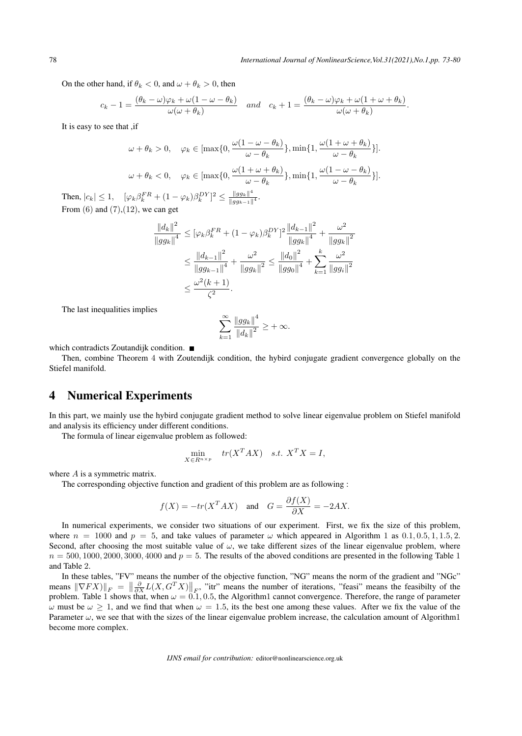On the other hand, if  $\theta_k < 0$ , and  $\omega + \theta_k > 0$ , then

$$
c_k - 1 = \frac{(\theta_k - \omega)\varphi_k + \omega(1 - \omega - \theta_k)}{\omega(\omega + \theta_k)} \quad \text{and} \quad c_k + 1 = \frac{(\theta_k - \omega)\varphi_k + \omega(1 + \omega + \theta_k)}{\omega(\omega + \theta_k)}.
$$

It is easy to see that ,if

$$
\omega + \theta_k > 0, \quad \varphi_k \in [\max\{0, \frac{\omega(1 - \omega - \theta_k)}{\omega - \theta_k}\}, \min\{1, \frac{\omega(1 + \omega + \theta_k)}{\omega - \theta_k}\}].
$$

$$
\omega + \theta_k < 0, \quad \varphi_k \in [\max\{0, \frac{\omega(1 + \omega + \theta_k)}{\omega - \theta_k}\}, \min\{1, \frac{\omega(1 - \omega - \theta_k)}{\omega - \theta_k}\}].
$$

Then,  $|c_k| \leq 1$ ,  $[\varphi_k \beta_k^F R + (1 - \varphi_k) \beta_k^D Y]^2 \leq \frac{||g g_k||^4}{||g g_{k-1}||}$  $\frac{\|gg_k\|}{\|gg_{k-1}\|^4}.$ From  $(6)$  and  $(7)$ , $(12)$ , we can get

$$
\frac{\|d_k\|^2}{\|gg_k\|^4} \leq [\varphi_k \beta_k^{FR} + (1 - \varphi_k)\beta_k^{DY}]^2 \frac{\|d_{k-1}\|^2}{\|gg_k\|^4} + \frac{\omega^2}{\|gg_k\|^2}
$$
  

$$
\leq \frac{\|d_{k-1}\|^2}{\|gg_{k-1}\|^4} + \frac{\omega^2}{\|gg_k\|^2} \leq \frac{\|d_0\|^2}{\|gg_0\|^4} + \sum_{k=1}^k \frac{\omega^2}{\|gg_k\|^2}
$$
  

$$
\leq \frac{\omega^2(k+1)}{\zeta^2}.
$$

The last inequalities implies

$$
\sum_{k=1}^{\infty} \frac{\|gg_k\|^4}{\|d_k\|^2} \ge +\infty.
$$

which contradicts Zoutandijk condition.

Then, combine Theorem 4 with Zoutendijk condition, the hybird conjugate gradient convergence globally on the Stiefel manifold.

### 4 Numerical Experiments

In this part, we mainly use the hybird conjugate gradient method to solve linear eigenvalue problem on Stiefel manifold and analysis its efficiency under different conditions.

The formula of linear eigenvalue problem as followed:

$$
\min_{X \in R^{n \times p}} \quad tr(X^T A X) \quad s.t. \ X^T X = I,
$$

where A is a symmetric matrix.

The corresponding objective function and gradient of this problem are as following :

$$
f(X) = -tr(X^T A X)
$$
 and  $G = \frac{\partial f(X)}{\partial X} = -2AX$ .

In numerical experiments, we consider two situations of our experiment. First, we fix the size of this problem, where  $n = 1000$  and  $p = 5$ , and take values of parameter  $\omega$  which appeared in Algorithm 1 as 0.1, 0.5, 1, 1.5, 2. Second, after choosing the most suitable value of  $\omega$ , we take different sizes of the linear eigenvalue problem, where  $n = 500, 1000, 2000, 3000, 4000$  and  $p = 5$ . The results of the aboved conditions are presented in the following Table 1 and Table 2.

In these tables, "FV" means the number of the objective function, "NG" means the norm of the gradient and "NGc" means  $\|\nabla FX\|_F = \left\|\frac{\partial}{\partial X}L(X, G^TX)\right\|_F$ , "itr" means the number of iterations, "feasi" means the feasibilty of the problem. Table 1 shows that, when  $\omega = 0.1, 0.5$ , the Algorithm1 cannot convergence. Therefore, the range of parameter ω must be  $ω \ge 1$ , and we find that when  $ω = 1.5$ , its the best one among these values. After we fix the value of the Parameter  $\omega$ , we see that with the sizes of the linear eigenvalue problem increase, the calculation amount of Algorithm1 become more complex.

*IJNS email for contribution:* editor@nonlinearscience.org.uk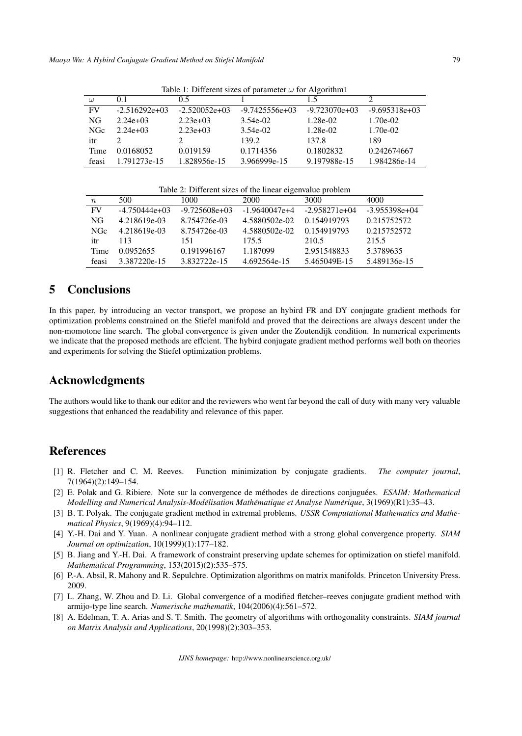| rative 1. Different sizes of parameter $\omega$ for Argometer |                 |                 |                  |                 |                 |  |  |  |
|---------------------------------------------------------------|-----------------|-----------------|------------------|-----------------|-----------------|--|--|--|
| $\omega$                                                      | 0.1             | 0.5             |                  | 15              |                 |  |  |  |
| <b>FV</b>                                                     | $-2.516292e+03$ | $-2.520052e+03$ | $-9.7425556e+03$ | $-9.723070e+03$ | $-9.695318e+03$ |  |  |  |
| NG                                                            | $2.24e+03$      | $2.23e+03$      | 3.54e-02         | 1.28e-02        | $1.70e-02$      |  |  |  |
| <b>NGc</b>                                                    | $2.24e+03$      | $2.23e+03$      | 3.54e-02         | 1.28e-02        | 1.70e-02        |  |  |  |
| itr                                                           |                 |                 | 139.2            | 137.8           | 189             |  |  |  |
| Time                                                          | 0.0168052       | 0.019159        | 0.1714356        | 0.1802832       | 0.242674667     |  |  |  |
| feasi                                                         | 1.791273e-15    | 1.828956e-15    | 3.966999e-15     | 9.197988e-15    | 1.984286e-14    |  |  |  |

Table 1: Different sizes of parameter ω for Algorithm1

Table 2: Different sizes of the linear eigenvalue problem

| $n_{\rm c}$ | 500             | 1000            | 2000            | 3000            | 4000            |
|-------------|-----------------|-----------------|-----------------|-----------------|-----------------|
| FV          | $-4.750444e+03$ | $-9.725608e+03$ | $-1.9640047e+4$ | $-2.958271e+04$ | $-3.955398e+04$ |
| NG          | 4.218619e-03    | 8.754726e-03    | 4.5880502e-02   | 0.154919793     | 0.215752572     |
| <b>NGc</b>  | 4.218619e-03    | 8.754726e-03    | 4.5880502e-02   | 0.154919793     | 0.215752572     |
| itr         | 113             | 151             | 175.5           | 210.5           | 215.5           |
| Time        | 0.0952655       | 0.191996167     | 1.187099        | 2.951548833     | 5.3789635       |
| feasi       | 3.387220e-15    | 3.832722e-15    | 4.692564e-15    | 5.465049E-15    | 5.489136e-15    |

## 5 Conclusions

In this paper, by introducing an vector transport, we propose an hybird FR and DY conjugate gradient methods for optimization problems constrained on the Stiefel manifold and proved that the deirections are always descent under the non-momotone line search. The global convergence is given under the Zoutendijk condition. In numerical experiments we indicate that the proposed methods are effcient. The hybird conjugate gradient method performs well both on theories and experiments for solving the Stiefel optimization problems.

### Acknowledgments

The authors would like to thank our editor and the reviewers who went far beyond the call of duty with many very valuable suggestions that enhanced the readability and relevance of this paper.

## References

- [1] R. Fletcher and C. M. Reeves. Function minimization by conjugate gradients. *The computer journal*, 7(1964)(2):149–154.
- [2] E. Polak and G. Ribiere. Note sur la convergence de méthodes de directions conjuguées. *ESAIM: Mathematical Modelling and Numerical Analysis-Modelisation Math ´ ematique et Analyse Num ´ erique ´* , 3(1969)(R1):35–43.
- [3] B. T. Polyak. The conjugate gradient method in extremal problems. *USSR Computational Mathematics and Mathematical Physics*, 9(1969)(4):94–112.
- [4] Y.-H. Dai and Y. Yuan. A nonlinear conjugate gradient method with a strong global convergence property. *SIAM Journal on optimization*, 10(1999)(1):177–182.
- [5] B. Jiang and Y.-H. Dai. A framework of constraint preserving update schemes for optimization on stiefel manifold. *Mathematical Programming*, 153(2015)(2):535–575.
- [6] P.-A. Absil, R. Mahony and R. Sepulchre. Optimization algorithms on matrix manifolds. Princeton University Press. 2009.
- [7] L. Zhang, W. Zhou and D. Li. Global convergence of a modified fletcher–reeves conjugate gradient method with armijo-type line search. *Numerische mathematik*, 104(2006)(4):561–572.
- [8] A. Edelman, T. A. Arias and S. T. Smith. The geometry of algorithms with orthogonality constraints. *SIAM journal on Matrix Analysis and Applications*, 20(1998)(2):303–353.